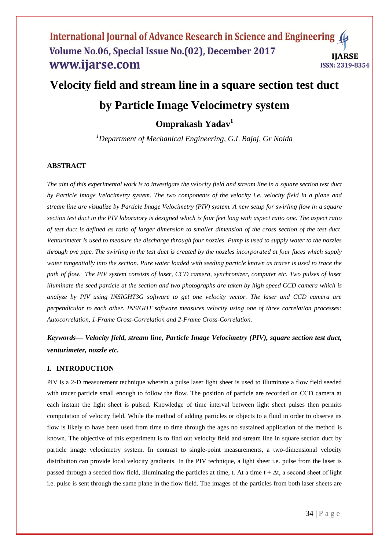# International Journal of Advance Research in Science and Engineering Volume No.06, Special Issue No.(02), December 2017 **IJARSE** www.ijarse.com **ISSN: 2319-8354**

# **Velocity field and stream line in a square section test duct by Particle Image Velocimetry system Omprakash Yadav<sup>1</sup>**

*<sup>1</sup>Department of Mechanical Engineering, G.L Bajaj, Gr Noida*

# **ABSTRACT**

*The aim of this experimental work is to investigate the velocity field and stream line in a square section test duct by Particle Image Velocimetry system. The two components of the velocity i.e. velocity field in a plane and stream line are visualize by Particle Image Velocimetry (PIV) system. A new setup for swirling flow in a square section test duct in the PIV laboratory is designed which is four feet long with aspect ratio one. The aspect ratio of test duct is defined as ratio of larger dimension to smaller dimension of the cross section of the test duct. Venturimeter is used to measure the discharge through four nozzles. Pump is used to supply water to the nozzles through pvc pipe. The swirling in the test duct is created by the nozzles incorporated at four faces which supply water tangentially into the section. Pure water loaded with seeding particle known as tracer is used to trace the path of flow. The PIV system consists of laser, CCD camera, synchronizer, computer etc. Two pulses of laser illuminate the seed particle at the section and two photographs are taken by high speed CCD camera which is analyze by PIV using INSIGHT3G software to get one velocity vector. The laser and CCD camera are perpendicular to each other. INSIGHT software measures velocity using one of three correlation processes: Autocorrelation, 1-Frame Cross-Correlation and 2-Frame Cross-Correlation.*

*Keywords— Velocity field, stream line, Particle Image Velocimetry (PIV), square section test duct, venturimeter, nozzle etc.*

# **I. INTRODUCTION**

PIV is a 2-D measurement technique wherein a pulse laser light sheet is used to illuminate a flow field seeded with tracer particle small enough to follow the flow. The position of particle are recorded on CCD camera at each instant the light sheet is pulsed. Knowledge of time interval between light sheet pulses then permits computation of velocity field. While the method of adding particles or objects to a fluid in order to observe its flow is likely to have been used from time to time through the ages no sustained application of the method is known. The objective of this experiment is to find out velocity field and stream line in square section duct by particle image velocimetry system. In contrast to single-point measurements, a two-dimensional velocity distribution can provide local velocity gradients. In the PIV technique, a light sheet i.e. pulse from the laser is passed through a seeded flow field, illuminating the particles at time, t. At a time  $t + \Delta t$ , a second sheet of light i.e. pulse is sent through the same plane in the flow field. The images of the particles from both laser sheets are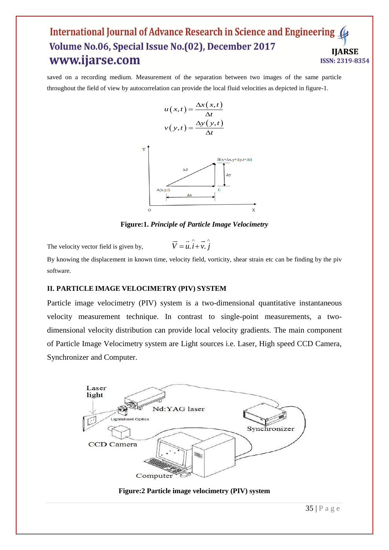# **International Journal of Advance Research in Science and Engineering** Volume No.06, Special Issue No.(02), December 2017 **ARSE** www.ijarse.com **ISSN: 2319-8354**

saved on a recording medium. Measurement of the separation between two images of the same particle throughout the field of view by autocorrelation can provide the local fluid velocities as depicted in figure-1.

$$
u(x,t) = \frac{\Delta x(x,t)}{\Delta t}
$$

$$
v(y,t) = \frac{\Delta y(y,t)}{\Delta t}
$$



**Figure:1.** *Principle of Particle Image Velocimetry*

The velocity vector field is given by,

By knowing the displacement in known time, velocity field, vorticity, shear strain etc can be finding by the piv software.

 $=\vec{u}.\vec{i}+\vec{v}.\vec{j}$  $\rightarrow$   $\rightarrow$   $\land$   $\rightarrow$ 

# **II. PARTICLE IMAGE VELOCIMETRY (PIV) SYSTEM**

Particle image velocimetry (PIV) system is a two-dimensional quantitative instantaneous velocity measurement technique. In contrast to single-point measurements, a twodimensional velocity distribution can provide local velocity gradients. The main component of Particle Image Velocimetry system are Light sources i.e. Laser, High speed CCD Camera, Synchronizer and Computer.



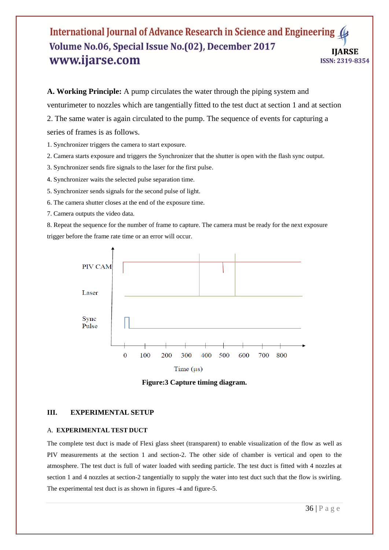# International Journal of Advance Research in Science and Engineering ( Volume No.06, Special Issue No.(02), December 2017 **IIARSE** www.ijarse.com ISSN: 2319-8354

**A. Working Principle:** A pump circulates the water through the piping system and venturimeter to nozzles which are tangentially fitted to the test duct at section 1 and at section 2. The same water is again circulated to the pump. The sequence of events for capturing a series of frames is as follows.

- 1. Synchronizer triggers the camera to start exposure.
- 2. Camera starts exposure and triggers the Synchronizer that the shutter is open with the flash sync output.
- 3. Synchronizer sends fire signals to the laser for the first pulse.
- 4. Synchronizer waits the selected pulse separation time.
- 5. Synchronizer sends signals for the second pulse of light.
- 6. The camera shutter closes at the end of the exposure time.
- 7. Camera outputs the video data.

8. Repeat the sequence for the number of frame to capture. The camera must be ready for the next exposure trigger before the frame rate time or an error will occur.



**Figure:3 Capture timing diagram.**

## **III. EXPERIMENTAL SETUP**

### A. **EXPERIMENTAL TEST DUCT**

The complete test duct is made of Flexi glass sheet (transparent) to enable visualization of the flow as well as PIV measurements at the section 1 and section-2. The other side of chamber is vertical and open to the atmosphere. The test duct is full of water loaded with seeding particle. The test duct is fitted with 4 nozzles at section 1 and 4 nozzles at section-2 tangentially to supply the water into test duct such that the flow is swirling. The experimental test duct is as shown in figures -4 and figure-5.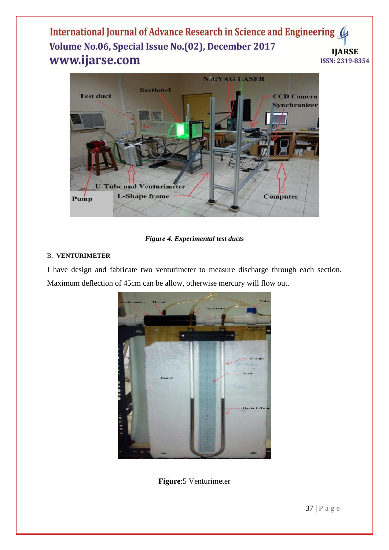International Journal of Advance Research in Science and Engineering Volume No.06, Special Issue No.(02), December 2017 **IIARSE** www.ijarse.com ISSN: 2319-8354



*Figure 4. Experimental test ducts*

# B. **VENTURIMETER**

I have design and fabricate two venturimeter to measure discharge through each section. Maximum deflection of 45cm can be allow, otherwise mercury will flow out.



**Figure**:5 Venturimeter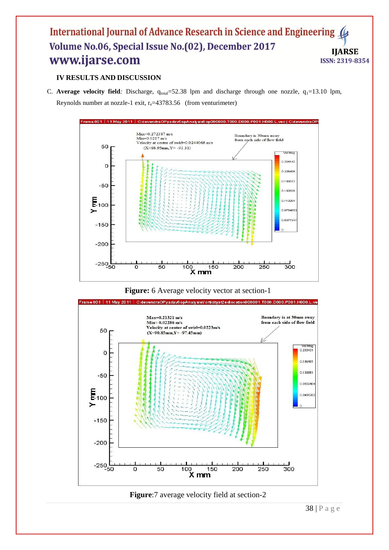# International Journal of Advance Research in Science and Engineering Volume No.06, Special Issue No.(02), December 2017 **IIARSE** www.ijarse.com **ISSN: 2319-8354**

# **IV RESULTS AND DISCUSSION**

C. **Average velocity field**: Discharge,  $q_{total} = 52.38$  lpm and discharge through one nozzle,  $q_1 = 13.10$  lpm, Reynolds number at nozzle-1 exit,  $r_e$ =43783.56 (from venturimeter)







**Figure**:7 average velocity field at section-2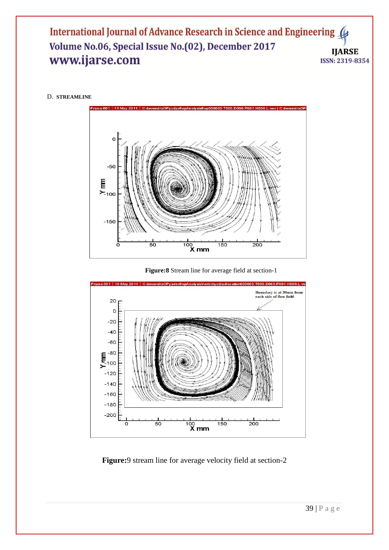International Journal of Advance Research in Science and Engineering Volume No.06, Special Issue No.(02), December 2017 **IJARSE** www.ijarse.com ISSN: 2319-8354

### D. **STREAMLINE**



 **Figure:8** Stream line for average field at section-1



# **Figure:**9 stream line for average velocity field at section-2